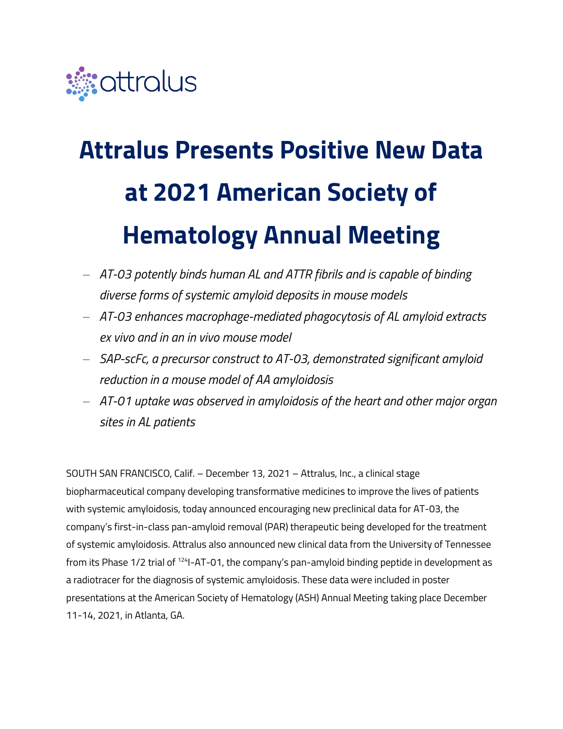

# **Attralus Presents Positive New Data at 2021 American Society of Hematology Annual Meeting**

- − *AT-03 potently binds human AL and ATTR fibrils and is capable of binding diverse forms of systemic amyloid deposits in mouse models*
- − *AT-03 enhances macrophage-mediated phagocytosis of AL amyloid extracts ex vivo and in an in vivo mouse model*
- − *SAP-scFc, a precursor construct to AT-03, demonstrated significant amyloid reduction in a mouse model of AA amyloidosis*
- − *AT-01 uptake was observed in amyloidosis of the heart and other major organ sites in AL patients*

SOUTH SAN FRANCISCO, Calif. – December 13, 2021 – Attralus, Inc., a clinical stage biopharmaceutical company developing transformative medicines to improve the lives of patients with systemic amyloidosis, today announced encouraging new preclinical data for AT-03, the company's first-in-class pan-amyloid removal (PAR) therapeutic being developed for the treatment of systemic amyloidosis. Attralus also announced new clinical data from the University of Tennessee from its Phase 1/2 trial of <sup>124</sup>I-AT-01, the company's pan-amyloid binding peptide in development as a radiotracer for the diagnosis of systemic amyloidosis. These data were included in poster presentations at the American Society of Hematology (ASH) Annual Meeting taking place December 11-14, 2021, in Atlanta, GA.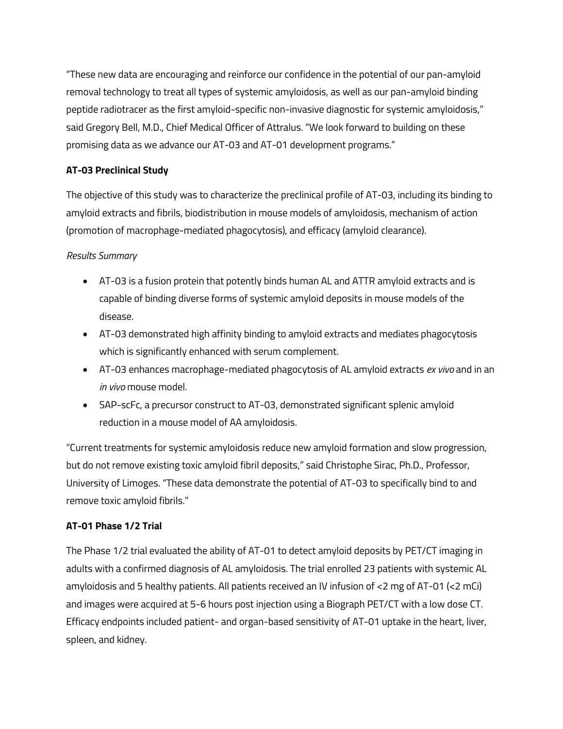"These new data are encouraging and reinforce our confidence in the potential of our pan-amyloid removal technology to treat all types of systemic amyloidosis, as well as our pan-amyloid binding peptide radiotracer as the first amyloid-specific non-invasive diagnostic for systemic amyloidosis," said Gregory Bell, M.D., Chief Medical Officer of Attralus. "We look forward to building on these promising data as we advance our AT-03 and AT-01 development programs."

## **AT-03 Preclinical Study**

The objective of this study was to characterize the preclinical profile of AT-03, including its binding to amyloid extracts and fibrils, biodistribution in mouse models of amyloidosis, mechanism of action (promotion of macrophage-mediated phagocytosis), and efficacy (amyloid clearance).

## *Results Summary*

- AT-03 is a fusion protein that potently binds human AL and ATTR amyloid extracts and is capable of binding diverse forms of systemic amyloid deposits in mouse models of the disease.
- AT-03 demonstrated high affinity binding to amyloid extracts and mediates phagocytosis which is significantly enhanced with serum complement.
- AT-03 enhances macrophage-mediated phagocytosis of AL amyloid extracts *ex vivo* and in an *in vivo* mouse model.
- SAP-scFc, a precursor construct to AT-03, demonstrated significant splenic amyloid reduction in a mouse model of AA amyloidosis.

"Current treatments for systemic amyloidosis reduce new amyloid formation and slow progression, but do not remove existing toxic amyloid fibril deposits," said Christophe Sirac, Ph.D., Professor, University of Limoges. "These data demonstrate the potential of AT-03 to specifically bind to and remove toxic amyloid fibrils."

## **AT-01 Phase 1/2 Trial**

The Phase 1/2 trial evaluated the ability of AT-01 to detect amyloid deposits by PET/CT imaging in adults with a confirmed diagnosis of AL amyloidosis. The trial enrolled 23 patients with systemic AL amyloidosis and 5 healthy patients. All patients received an IV infusion of <2 mg of AT-01 (<2 mCi) and images were acquired at 5-6 hours post injection using a Biograph PET/CT with a low dose CT. Efficacy endpoints included patient- and organ-based sensitivity of AT-01 uptake in the heart, liver, spleen, and kidney.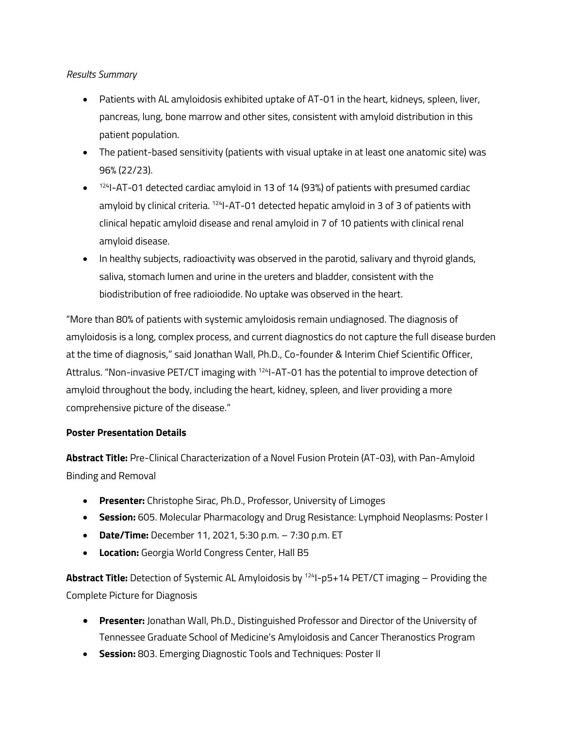## *Results Summary*

- Patients with AL amyloidosis exhibited uptake of AT-01 in the heart, kidneys, spleen, liver, pancreas, lung, bone marrow and other sites, consistent with amyloid distribution in this patient population.
- The patient-based sensitivity (patients with visual uptake in at least one anatomic site) was 96% (22/23).
- $\bullet$  <sup>124</sup>I-AT-01 detected cardiac amyloid in 13 of 14 (93%) of patients with presumed cardiac amyloid by clinical criteria.  $124$ I-AT-01 detected hepatic amyloid in 3 of 3 of patients with clinical hepatic amyloid disease and renal amyloid in 7 of 10 patients with clinical renal amyloid disease.
- In healthy subjects, radioactivity was observed in the parotid, salivary and thyroid glands, saliva, stomach lumen and urine in the ureters and bladder, consistent with the biodistribution of free radioiodide. No uptake was observed in the heart.

"More than 80% of patients with systemic amyloidosis remain undiagnosed. The diagnosis of amyloidosis is a long, complex process, and current diagnostics do not capture the full disease burden at the time of diagnosis," said Jonathan Wall, Ph.D., Co-founder & Interim Chief Scientific Officer, Attralus. "Non-invasive PET/CT imaging with <sup>124</sup>I-AT-01 has the potential to improve detection of amyloid throughout the body, including the heart, kidney, spleen, and liver providing a more comprehensive picture of the disease."

## **Poster Presentation Details**

**Abstract Title:** Pre-Clinical Characterization of a Novel Fusion Protein (AT-03), with Pan-Amyloid Binding and Removal

- **Presenter:** Christophe Sirac, Ph.D., Professor, University of Limoges
- **Session:** 605. Molecular Pharmacology and Drug Resistance: Lymphoid Neoplasms: Poster I
- **Date/Time:** December 11, 2021, 5:30 p.m. 7:30 p.m. ET
- **Location:** Georgia World Congress Center, Hall B5

**Abstract Title:** Detection of Systemic AL Amyloidosis by <sup>124</sup>I-p5+14 PET/CT imaging – Providing the Complete Picture for Diagnosis

- **Presenter:** Jonathan Wall, Ph.D., Distinguished Professor and Director of the University of Tennessee Graduate School of Medicine's Amyloidosis and Cancer Theranostics Program
- **Session:** 803. Emerging Diagnostic Tools and Techniques: Poster II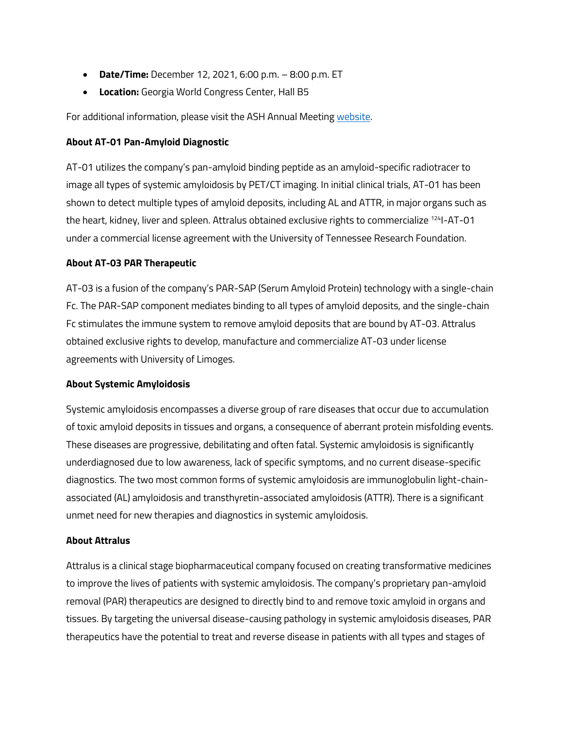- **Date/Time:** December 12, 2021, 6:00 p.m. 8:00 p.m. ET
- **Location:** Georgia World Congress Center, Hall B5

For additional information, please visit the ASH Annual Meeting [website.](https://www.hematology.org/meetings/annual-meeting)

### **About AT-01 Pan-Amyloid Diagnostic**

AT-01 utilizes the company's pan-amyloid binding peptide as an amyloid-specific radiotracer to image all types of systemic amyloidosis by PET/CT imaging. In initial clinical trials, AT-01 has been shown to detect multiple types of amyloid deposits, including AL and ATTR, in major organs such as the heart, kidney, liver and spleen. Attralus obtained exclusive rights to commercialize <sup>124</sup>I-AT-01 under a commercial license agreement with the University of Tennessee Research Foundation.

### **About AT-03 PAR Therapeutic**

AT-03 is a fusion of the company's PAR-SAP (Serum Amyloid Protein) technology with a single-chain Fc. The PAR-SAP component mediates binding to all types of amyloid deposits, and the single-chain Fc stimulates the immune system to remove amyloid deposits that are bound by AT-03. Attralus obtained exclusive rights to develop, manufacture and commercialize AT-03 under license agreements with University of Limoges.

## **About Systemic Amyloidosis**

Systemic amyloidosis encompasses a diverse group of rare diseases that occur due to accumulation of toxic amyloid deposits in tissues and organs, a consequence of aberrant protein misfolding events. These diseases are progressive, debilitating and often fatal. Systemic amyloidosis is significantly underdiagnosed due to low awareness, lack of specific symptoms, and no current disease-specific diagnostics. The two most common forms of systemic amyloidosis are immunoglobulin light-chainassociated (AL) amyloidosis and transthyretin-associated amyloidosis (ATTR). There is a significant unmet need for new therapies and diagnostics in systemic amyloidosis.

#### **About Attralus**

Attralus is a clinical stage biopharmaceutical company focused on creating transformative medicines to improve the lives of patients with systemic amyloidosis. The company's proprietary pan-amyloid removal (PAR) therapeutics are designed to directly bind to and remove toxic amyloid in organs and tissues. By targeting the universal disease-causing pathology in systemic amyloidosis diseases, PAR therapeutics have the potential to treat and reverse disease in patients with all types and stages of